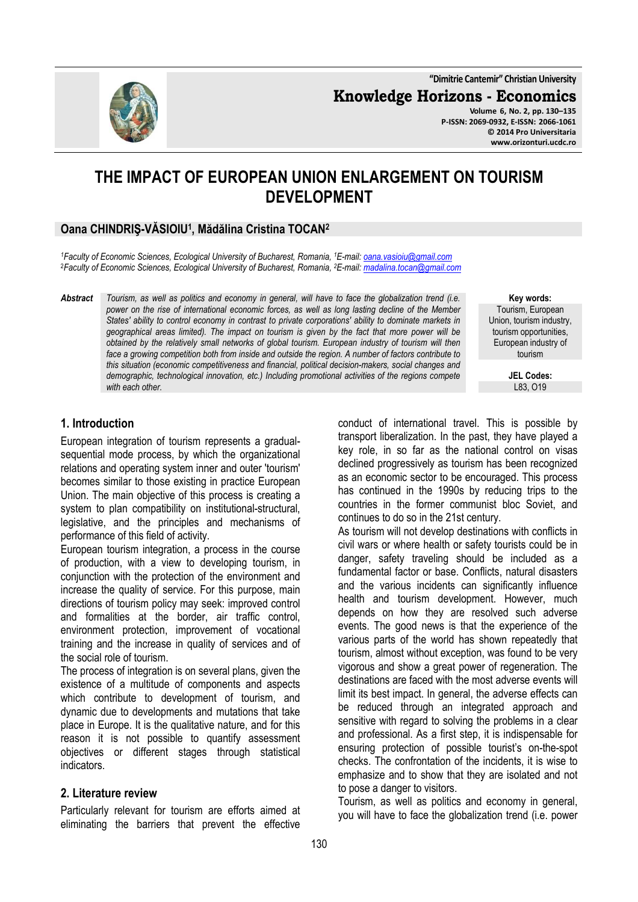**"Dimitrie Cantemir" Christian University**

**Knowledge Horizons - Economics**

**Volume 6, No. 2, pp. 130–135 P-ISSN: 2069-0932, E-ISSN: 2066-1061 © 2014 Pro Universitaria www.orizonturi.ucdc.ro**

# **THE IMPACT OF EUROPEAN UNION ENLARGEMENT ON TOURISM DEVELOPMENT**

#### **Oana CHINDRIŞ-VĂSIOIU<sup>1</sup> , Mădălina Cristina TOCAN<sup>2</sup>**

*<sup>1</sup>Faculty of Economic Sciences, Ecological University of Bucharest, Romania, <sup>1</sup>E-mail: oana.vasioiu@gmail.com* <sup>2</sup>*Faculty of Economic Sciences, Ecological University of Bucharest, Romania, <sup>2</sup>E-mail: madalina.tocan@gmail.com* 

*Abstract Tourism, as well as politics and economy in general, will have to face the globalization trend (i.e. power on the rise of international economic forces, as well as long lasting decline of the Member States' ability to control economy in contrast to private corporations' ability to dominate markets in geographical areas limited). The impact on tourism is given by the fact that more power will be obtained by the relatively small networks of global tourism. European industry of tourism will then face a growing competition both from inside and outside the region. A number of factors contribute to this situation (economic competitiveness and financial, political decision-makers, social changes and demographic, technological innovation, etc.) Including promotional activities of the regions compete with each other.* 

**1. Introduction** 

European integration of tourism represents a gradualsequential mode process, by which the organizational relations and operating system inner and outer 'tourism' becomes similar to those existing in practice European Union. The main objective of this process is creating a system to plan compatibility on institutional-structural, legislative, and the principles and mechanisms of performance of this field of activity.

European tourism integration, a process in the course of production, with a view to developing tourism, in conjunction with the protection of the environment and increase the quality of service. For this purpose, main directions of tourism policy may seek: improved control and formalities at the border, air traffic control, environment protection, improvement of vocational training and the increase in quality of services and of the social role of tourism.

The process of integration is on several plans, given the existence of a multitude of components and aspects which contribute to development of tourism, and dynamic due to developments and mutations that take place in Europe. It is the qualitative nature, and for this reason it is not possible to quantify assessment objectives or different stages through statistical indicators.

#### **2. Literature review**

Particularly relevant for tourism are efforts aimed at eliminating the barriers that prevent the effective

**Key words:** Tourism, European Union, tourism industry, tourism opportunities, European industry of tourism

> **JEL Codes:** L83, O19

conduct of international travel. This is possible by transport liberalization. In the past, they have played a key role, in so far as the national control on visas declined progressively as tourism has been recognized as an economic sector to be encouraged. This process has continued in the 1990s by reducing trips to the countries in the former communist bloc Soviet, and continues to do so in the 21st century.

As tourism will not develop destinations with conflicts in civil wars or where health or safety tourists could be in danger, safety traveling should be included as a fundamental factor or base. Conflicts, natural disasters and the various incidents can significantly influence health and tourism development. However, much depends on how they are resolved such adverse events. The good news is that the experience of the various parts of the world has shown repeatedly that tourism, almost without exception, was found to be very vigorous and show a great power of regeneration. The destinations are faced with the most adverse events will limit its best impact. In general, the adverse effects can be reduced through an integrated approach and sensitive with regard to solving the problems in a clear and professional. As a first step, it is indispensable for ensuring protection of possible tourist's on-the-spot checks. The confrontation of the incidents, it is wise to emphasize and to show that they are isolated and not to pose a danger to visitors.

Tourism, as well as politics and economy in general, you will have to face the globalization trend (i.e. power

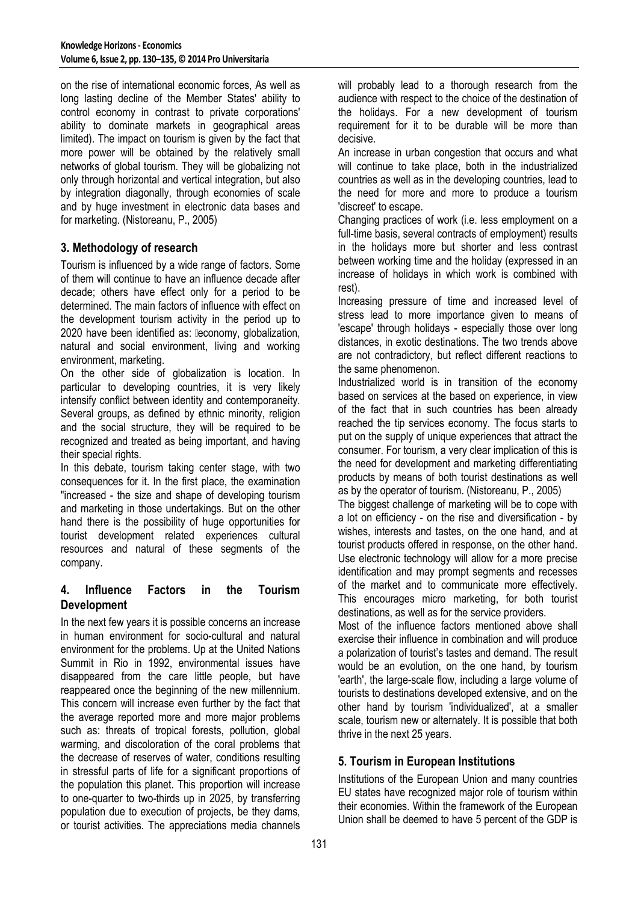on the rise of international economic forces, As well as long lasting decline of the Member States' ability to control economy in contrast to private corporations' ability to dominate markets in geographical areas limited). The impact on tourism is given by the fact that more power will be obtained by the relatively small networks of global tourism. They will be globalizing not only through horizontal and vertical integration, but also by integration diagonally, through economies of scale and by huge investment in electronic data bases and for marketing. (Nistoreanu, P., 2005)

# **3. Methodology of research**

Tourism is influenced by a wide range of factors. Some of them will continue to have an influence decade after decade; others have effect only for a period to be determined. The main factors of influence with effect on the development tourism activity in the period up to 2020 have been identified as: leconomy, globalization, natural and social environment, living and working environment, marketing.

On the other side of globalization is location. In particular to developing countries, it is very likely intensify conflict between identity and contemporaneity. Several groups, as defined by ethnic minority, religion and the social structure, they will be required to be recognized and treated as being important, and having their special rights.

In this debate, tourism taking center stage, with two consequences for it. In the first place, the examination "increased - the size and shape of developing tourism and marketing in those undertakings. But on the other hand there is the possibility of huge opportunities for tourist development related experiences cultural resources and natural of these segments of the company.

# **4. Influence Factors in the Tourism Development**

In the next few years it is possible concerns an increase in human environment for socio-cultural and natural environment for the problems. Up at the United Nations Summit in Rio in 1992, environmental issues have disappeared from the care little people, but have reappeared once the beginning of the new millennium. This concern will increase even further by the fact that the average reported more and more major problems such as: threats of tropical forests, pollution, global warming, and discoloration of the coral problems that the decrease of reserves of water, conditions resulting in stressful parts of life for a significant proportions of the population this planet. This proportion will increase to one-quarter to two-thirds up in 2025, by transferring population due to execution of projects, be they dams, or tourist activities. The appreciations media channels

will probably lead to a thorough research from the audience with respect to the choice of the destination of the holidays. For a new development of tourism requirement for it to be durable will be more than decisive.

An increase in urban congestion that occurs and what will continue to take place, both in the industrialized countries as well as in the developing countries, lead to the need for more and more to produce a tourism 'discreet' to escape.

Changing practices of work (i.e. less employment on a full-time basis, several contracts of employment) results in the holidays more but shorter and less contrast between working time and the holiday (expressed in an increase of holidays in which work is combined with rest).

Increasing pressure of time and increased level of stress lead to more importance given to means of 'escape' through holidays - especially those over long distances, in exotic destinations. The two trends above are not contradictory, but reflect different reactions to the same phenomenon.

Industrialized world is in transition of the economy based on services at the based on experience, in view of the fact that in such countries has been already reached the tip services economy. The focus starts to put on the supply of unique experiences that attract the consumer. For tourism, a very clear implication of this is the need for development and marketing differentiating products by means of both tourist destinations as well as by the operator of tourism. (Nistoreanu, P., 2005)

The biggest challenge of marketing will be to cope with a lot on efficiency - on the rise and diversification - by wishes, interests and tastes, on the one hand, and at tourist products offered in response, on the other hand. Use electronic technology will allow for a more precise identification and may prompt segments and recesses of the market and to communicate more effectively. This encourages micro marketing, for both tourist destinations, as well as for the service providers.

Most of the influence factors mentioned above shall exercise their influence in combination and will produce a polarization of tourist's tastes and demand. The result would be an evolution, on the one hand, by tourism 'earth', the large-scale flow, including a large volume of tourists to destinations developed extensive, and on the other hand by tourism 'individualized', at a smaller scale, tourism new or alternately. It is possible that both thrive in the next 25 years.

# **5. Tourism in European Institutions**

Institutions of the European Union and many countries EU states have recognized major role of tourism within their economies. Within the framework of the European Union shall be deemed to have 5 percent of the GDP is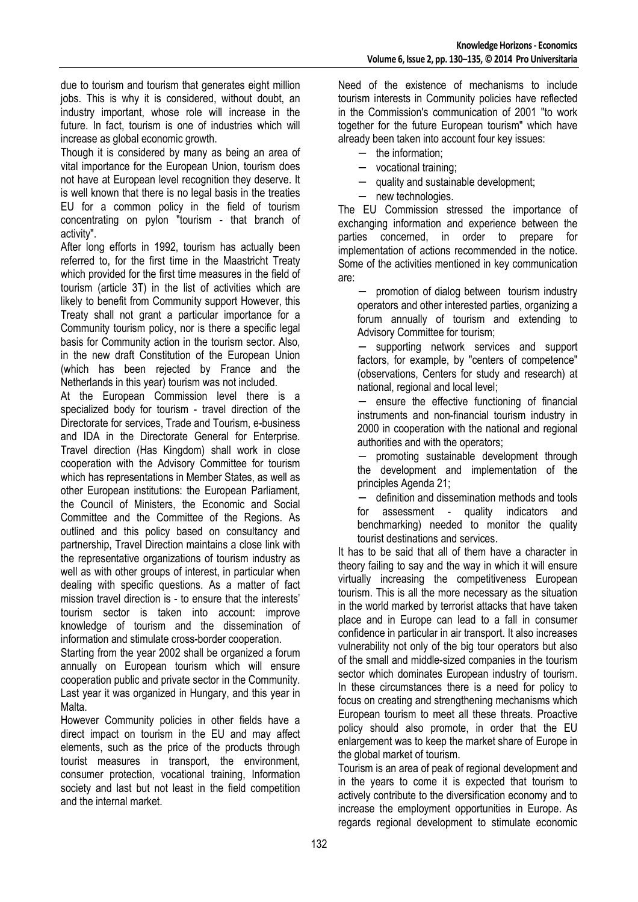due to tourism and tourism that generates eight million jobs. This is why it is considered, without doubt, an industry important, whose role will increase in the future. In fact, tourism is one of industries which will increase as global economic growth.

Though it is considered by many as being an area of vital importance for the European Union, tourism does not have at European level recognition they deserve. It is well known that there is no legal basis in the treaties EU for a common policy in the field of tourism concentrating on pylon "tourism - that branch of activity".

After long efforts in 1992, tourism has actually been referred to, for the first time in the Maastricht Treaty which provided for the first time measures in the field of tourism (article 3T) in the list of activities which are likely to benefit from Community support However, this Treaty shall not grant a particular importance for a Community tourism policy, nor is there a specific legal basis for Community action in the tourism sector. Also, in the new draft Constitution of the European Union (which has been rejected by France and the Netherlands in this year) tourism was not included.

At the European Commission level there is a specialized body for tourism - travel direction of the Directorate for services, Trade and Tourism, e-business and IDA in the Directorate General for Enterprise. Travel direction (Has Kingdom) shall work in close cooperation with the Advisory Committee for tourism which has representations in Member States, as well as other European institutions: the European Parliament, the Council of Ministers, the Economic and Social Committee and the Committee of the Regions. As outlined and this policy based on consultancy and partnership, Travel Direction maintains a close link with the representative organizations of tourism industry as well as with other groups of interest, in particular when dealing with specific questions. As a matter of fact mission travel direction is - to ensure that the interests' tourism sector is taken into account: improve knowledge of tourism and the dissemination of information and stimulate cross-border cooperation.

Starting from the year 2002 shall be organized a forum annually on European tourism which will ensure cooperation public and private sector in the Community. Last year it was organized in Hungary, and this year in Malta.

However Community policies in other fields have a direct impact on tourism in the EU and may affect elements, such as the price of the products through tourist measures in transport, the environment, consumer protection, vocational training, Information society and last but not least in the field competition and the internal market.

Need of the existence of mechanisms to include tourism interests in Community policies have reflected in the Commission's communication of 2001 "to work together for the future European tourism" which have already been taken into account four key issues:

- the information:
- − vocational training;
- quality and sustainable development;
- new technologies.

The EU Commission stressed the importance of exchanging information and experience between the parties concerned, in order to prepare for implementation of actions recommended in the notice. Some of the activities mentioned in key communication are:

− promotion of dialog between tourism industry operators and other interested parties, organizing a forum annually of tourism and extending to Advisory Committee for tourism;

supporting network services and support factors, for example, by "centers of competence" (observations, Centers for study and research) at national, regional and local level;

− ensure the effective functioning of financial instruments and non-financial tourism industry in 2000 in cooperation with the national and regional authorities and with the operators;

promoting sustainable development through the development and implementation of the principles Agenda 21;

− definition and dissemination methods and tools for assessment - quality indicators and benchmarking) needed to monitor the quality tourist destinations and services.

It has to be said that all of them have a character in theory failing to say and the way in which it will ensure virtually increasing the competitiveness European tourism. This is all the more necessary as the situation in the world marked by terrorist attacks that have taken place and in Europe can lead to a fall in consumer confidence in particular in air transport. It also increases vulnerability not only of the big tour operators but also of the small and middle-sized companies in the tourism sector which dominates European industry of tourism. In these circumstances there is a need for policy to focus on creating and strengthening mechanisms which European tourism to meet all these threats. Proactive policy should also promote, in order that the EU enlargement was to keep the market share of Europe in the global market of tourism.

Tourism is an area of peak of regional development and in the years to come it is expected that tourism to actively contribute to the diversification economy and to increase the employment opportunities in Europe. As regards regional development to stimulate economic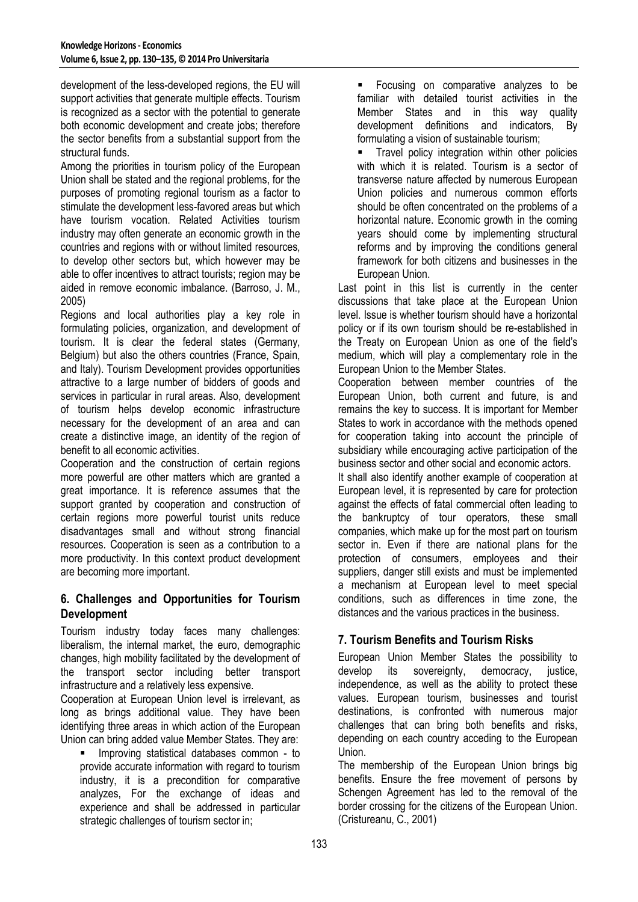development of the less-developed regions, the EU will support activities that generate multiple effects. Tourism is recognized as a sector with the potential to generate both economic development and create jobs; therefore the sector benefits from a substantial support from the structural funds.

Among the priorities in tourism policy of the European Union shall be stated and the regional problems, for the purposes of promoting regional tourism as a factor to stimulate the development less-favored areas but which have tourism vocation. Related Activities tourism industry may often generate an economic growth in the countries and regions with or without limited resources, to develop other sectors but, which however may be able to offer incentives to attract tourists; region may be aided in remove economic imbalance. (Barroso, J. M., 2005)

Regions and local authorities play a key role in formulating policies, organization, and development of tourism. It is clear the federal states (Germany, Belgium) but also the others countries (France, Spain, and Italy). Tourism Development provides opportunities attractive to a large number of bidders of goods and services in particular in rural areas. Also, development of tourism helps develop economic infrastructure necessary for the development of an area and can create a distinctive image, an identity of the region of benefit to all economic activities.

Cooperation and the construction of certain regions more powerful are other matters which are granted a great importance. It is reference assumes that the support granted by cooperation and construction of certain regions more powerful tourist units reduce disadvantages small and without strong financial resources. Cooperation is seen as a contribution to a more productivity. In this context product development are becoming more important.

# **6. Challenges and Opportunities for Tourism Development**

Tourism industry today faces many challenges: liberalism, the internal market, the euro, demographic changes, high mobility facilitated by the development of the transport sector including better transport infrastructure and a relatively less expensive.

Cooperation at European Union level is irrelevant, as long as brings additional value. They have been identifying three areas in which action of the European Union can bring added value Member States. They are:

 Improving statistical databases common - to provide accurate information with regard to tourism industry, it is a precondition for comparative analyzes, For the exchange of ideas and experience and shall be addressed in particular strategic challenges of tourism sector in;

**Focusing on comparative analyzes to be** familiar with detailed tourist activities in the Member States and in this way quality development definitions and indicators, By formulating a vision of sustainable tourism;

**Travel policy integration within other policies** with which it is related. Tourism is a sector of transverse nature affected by numerous European Union policies and numerous common efforts should be often concentrated on the problems of a horizontal nature. Economic growth in the coming years should come by implementing structural reforms and by improving the conditions general framework for both citizens and businesses in the European Union.

Last point in this list is currently in the center discussions that take place at the European Union level. Issue is whether tourism should have a horizontal policy or if its own tourism should be re-established in the Treaty on European Union as one of the field's medium, which will play a complementary role in the European Union to the Member States.

Cooperation between member countries of the European Union, both current and future, is and remains the key to success. It is important for Member States to work in accordance with the methods opened for cooperation taking into account the principle of subsidiary while encouraging active participation of the business sector and other social and economic actors.

It shall also identify another example of cooperation at European level, it is represented by care for protection against the effects of fatal commercial often leading to the bankruptcy of tour operators, these small companies, which make up for the most part on tourism sector in. Even if there are national plans for the protection of consumers, employees and their suppliers, danger still exists and must be implemented a mechanism at European level to meet special conditions, such as differences in time zone, the distances and the various practices in the business.

# **7. Tourism Benefits and Tourism Risks**

European Union Member States the possibility to develop its sovereignty, democracy, justice, independence, as well as the ability to protect these values. European tourism, businesses and tourist destinations, is confronted with numerous major challenges that can bring both benefits and risks, depending on each country acceding to the European Union.

The membership of the European Union brings big benefits. Ensure the free movement of persons by Schengen Agreement has led to the removal of the border crossing for the citizens of the European Union. (Cristureanu, C., 2001)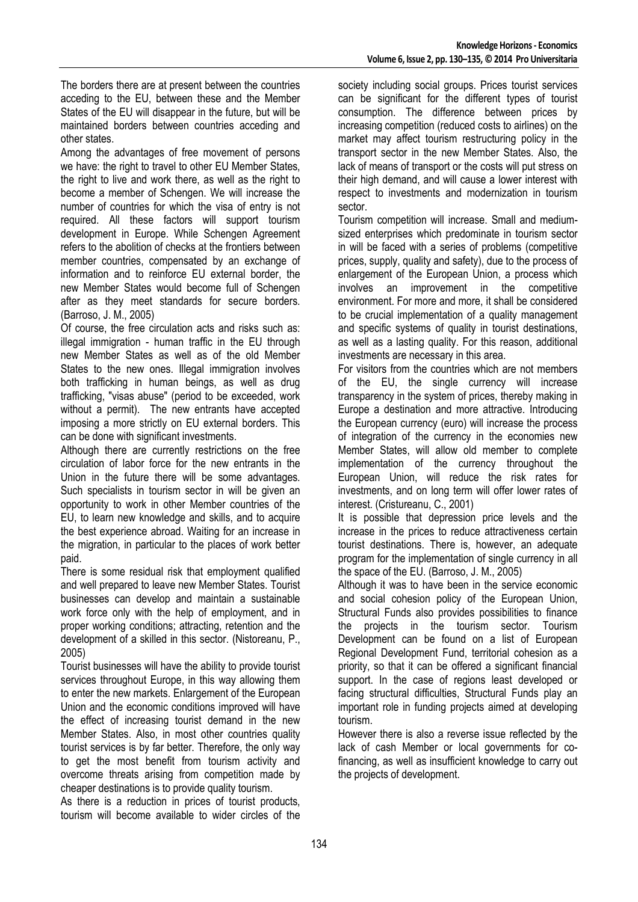The borders there are at present between the countries acceding to the EU, between these and the Member States of the EU will disappear in the future, but will be maintained borders between countries acceding and other states.

Among the advantages of free movement of persons we have: the right to travel to other EU Member States, the right to live and work there, as well as the right to become a member of Schengen. We will increase the number of countries for which the visa of entry is not required. All these factors will support tourism development in Europe. While Schengen Agreement refers to the abolition of checks at the frontiers between member countries, compensated by an exchange of information and to reinforce EU external border, the new Member States would become full of Schengen after as they meet standards for secure borders. (Barroso, J. M., 2005)

Of course, the free circulation acts and risks such as: illegal immigration - human traffic in the EU through new Member States as well as of the old Member States to the new ones. Illegal immigration involves both trafficking in human beings, as well as drug trafficking, "visas abuse" (period to be exceeded, work without a permit). The new entrants have accepted imposing a more strictly on EU external borders. This can be done with significant investments.

Although there are currently restrictions on the free circulation of labor force for the new entrants in the Union in the future there will be some advantages. Such specialists in tourism sector in will be given an opportunity to work in other Member countries of the EU, to learn new knowledge and skills, and to acquire the best experience abroad. Waiting for an increase in the migration, in particular to the places of work better paid.

There is some residual risk that employment qualified and well prepared to leave new Member States. Tourist businesses can develop and maintain a sustainable work force only with the help of employment, and in proper working conditions; attracting, retention and the development of a skilled in this sector. (Nistoreanu, P., 2005)

Tourist businesses will have the ability to provide tourist services throughout Europe, in this way allowing them to enter the new markets. Enlargement of the European Union and the economic conditions improved will have the effect of increasing tourist demand in the new Member States. Also, in most other countries quality tourist services is by far better. Therefore, the only way to get the most benefit from tourism activity and overcome threats arising from competition made by cheaper destinations is to provide quality tourism.

As there is a reduction in prices of tourist products, tourism will become available to wider circles of the society including social groups. Prices tourist services can be significant for the different types of tourist consumption. The difference between prices by increasing competition (reduced costs to airlines) on the market may affect tourism restructuring policy in the transport sector in the new Member States. Also, the lack of means of transport or the costs will put stress on their high demand, and will cause a lower interest with respect to investments and modernization in tourism sector.

Tourism competition will increase. Small and mediumsized enterprises which predominate in tourism sector in will be faced with a series of problems (competitive prices, supply, quality and safety), due to the process of enlargement of the European Union, a process which involves an improvement in the competitive environment. For more and more, it shall be considered to be crucial implementation of a quality management and specific systems of quality in tourist destinations, as well as a lasting quality. For this reason, additional investments are necessary in this area.

For visitors from the countries which are not members of the EU, the single currency will increase transparency in the system of prices, thereby making in Europe a destination and more attractive. Introducing the European currency (euro) will increase the process of integration of the currency in the economies new Member States, will allow old member to complete implementation of the currency throughout the European Union, will reduce the risk rates for investments, and on long term will offer lower rates of interest. (Cristureanu, C., 2001)

It is possible that depression price levels and the increase in the prices to reduce attractiveness certain tourist destinations. There is, however, an adequate program for the implementation of single currency in all the space of the EU. (Barroso, J. M., 2005)

Although it was to have been in the service economic and social cohesion policy of the European Union, Structural Funds also provides possibilities to finance the projects in the tourism sector. Tourism Development can be found on a list of European Regional Development Fund, territorial cohesion as a priority, so that it can be offered a significant financial support. In the case of regions least developed or facing structural difficulties, Structural Funds play an important role in funding projects aimed at developing tourism.

However there is also a reverse issue reflected by the lack of cash Member or local governments for cofinancing, as well as insufficient knowledge to carry out the projects of development.